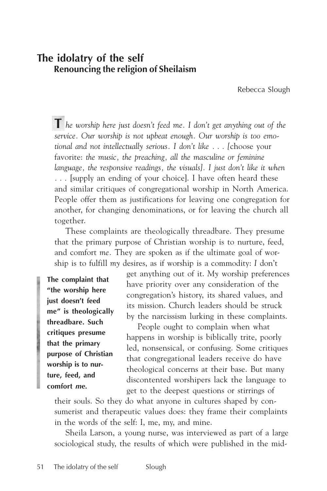# **The idolatry of the self Renouncing the religion of Sheilaism**

Rebecca Slough

**T** *he worship here just doesn't feed me. I don't get anything out of the service. Our worship is not upbeat enough. Our worship is too emotional and not intellectually serious. I don't like . . . [*choose your favorite: *the music, the preaching, all the masculine or feminine language, the responsive readings, the visuals]. I just don't like it when . . .* [supply an ending of your choice]. I have often heard these and similar critiques of congregational worship in North America. People offer them as justifications for leaving one congregation for another, for changing denominations, or for leaving the church all together.

These complaints are theologically threadbare. They presume that the primary purpose of Christian worship is to nurture, feed, and comfort *me.* They are spoken as if the ultimate goal of worship is to fulfill *my* desires, as if worship is a commodity: *I* don't

**The complaint that "the worship here just doesn't feed me" is theologically threadbare. Such critiques presume that the primary purpose of Christian worship is to nurture, feed, and comfort** *me.*

get anything out of it. *My* worship preferences have priority over any consideration of the congregation's history, its shared values, and its mission. Church leaders should be struck by the narcissism lurking in these complaints.

People ought to complain when what happens in worship is biblically trite, poorly led, nonsensical, or confusing. Some critiques that congregational leaders receive do have theological concerns at their base. But many discontented worshipers lack the language to get to the deepest questions or stirrings of

their souls. So they do what anyone in cultures shaped by consumerist and therapeutic values does: they frame their complaints in the words of the self: I, me, my, and mine.

Sheila Larson, a young nurse, was interviewed as part of a large sociological study, the results of which were published in the mid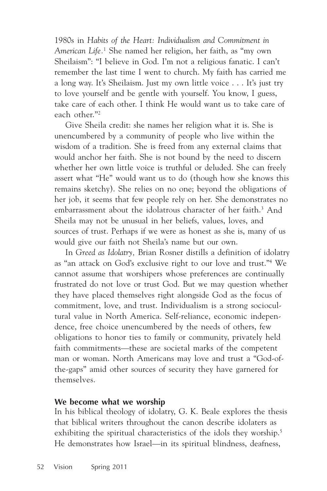1980s in *Habits of the Heart: Individualism and Commitment in American Life.*<sup>1</sup> She named her religion, her faith, as "my own Sheilaism": "I believe in God. I'm not a religious fanatic. I can't remember the last time I went to church. My faith has carried me a long way. It's Sheilaism. Just my own little voice . . . It's just try to love yourself and be gentle with yourself. You know, I guess, take care of each other. I think He would want us to take care of each other."2

Give Sheila credit: she names her religion what it is. She is unencumbered by a community of people who live within the wisdom of a tradition. She is freed from any external claims that would anchor her faith. She is not bound by the need to discern whether her own little voice is truthful or deluded. She can freely assert what "He" would want us to do (though how she knows this remains sketchy). She relies on no one; beyond the obligations of her job, it seems that few people rely on her. She demonstrates no embarrassment about the idolatrous character of her faith.<sup>3</sup> And Sheila may not be unusual in her beliefs, values, loves, and sources of trust. Perhaps if we were as honest as she is, many of us would give our faith not Sheila's name but our own.

In *Greed as Idolatry,* Brian Rosner distills a definition of idolatry as "an attack on God's exclusive right to our love and trust."4 We cannot assume that worshipers whose preferences are continually frustrated do not love or trust God. But we may question whether they have placed themselves right alongside God as the focus of commitment, love, and trust. Individualism is a strong sociocultural value in North America. Self-reliance, economic independence, free choice unencumbered by the needs of others, few obligations to honor ties to family or community, privately held faith commitments—these are societal marks of the competent man or woman. North Americans may love and trust a "God-ofthe-gaps" amid other sources of security they have garnered for themselves.

## **We become what we worship**

In his biblical theology of idolatry, G. K. Beale explores the thesis that biblical writers throughout the canon describe idolaters as exhibiting the spiritual characteristics of the idols they worship.<sup>5</sup> He demonstrates how Israel—in its spiritual blindness, deafness,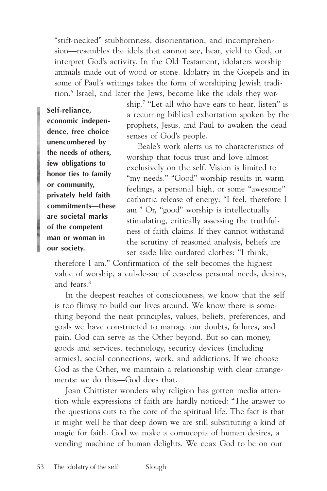"stiff-necked" stubbornness, disorientation, and incomprehension—resembles the idols that cannot see, hear, yield to God, or interpret God's activity. In the Old Testament, idolaters worship animals made out of wood or stone. Idolatry in the Gospels and in some of Paul's writings takes the form of worshiping Jewish tradition.6 Israel, and later the Jews, become like the idols they wor-

**Self-reliance, economic independence, free choice unencumbered by the needs of others, few obligations to honor ties to family or community, privately held faith commitments—these are societal marks of the competent man or woman in our society.**

ship.7 "Let all who have ears to hear, listen" is a recurring biblical exhortation spoken by the prophets, Jesus, and Paul to awaken the dead senses of God's people.

Beale's work alerts us to characteristics of worship that focus trust and love almost exclusively on the self. Vision is limited to "my needs." "Good" worship results in warm feelings, a personal high, or some "awesome" cathartic release of energy: "I feel, therefore I am." Or, "good" worship is intellectually stimulating, critically assessing the truthfulness of faith claims. If they cannot withstand the scrutiny of reasoned analysis, beliefs are set aside like outdated clothes: "I think,

therefore I am." Confirmation of the self becomes the highest value of worship, a cul-de-sac of ceaseless personal needs, desires, and fears.8

In the deepest reaches of consciousness, we know that the self is too flimsy to build our lives around. We know there is something beyond the neat principles, values, beliefs, preferences, and goals we have constructed to manage our doubts, failures, and pain. God can serve as the Other beyond. But so can money, goods and services, technology, security devices (including armies), social connections, work, and addictions. If we choose God as the Other, we maintain a relationship with clear arrangements: we do this—God does that.

Joan Chittister wonders why religion has gotten media attention while expressions of faith are hardly noticed: "The answer to the questions cuts to the core of the spiritual life. The fact is that it might well be that deep down we are still substituting a kind of magic for faith. God we make a cornucopia of human desires, a vending machine of human delights. We coax God to be on our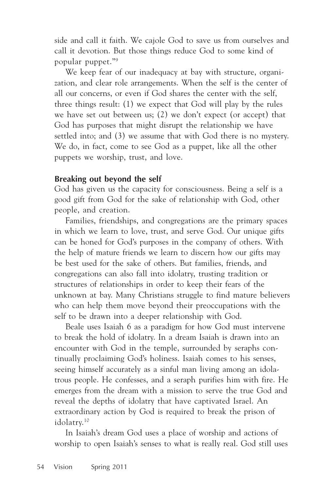side and call it faith. We cajole God to save us from ourselves and call it devotion. But those things reduce God to some kind of popular puppet."9

We keep fear of our inadequacy at bay with structure, organization, and clear role arrangements. When the self is the center of all our concerns, or even if God shares the center with the self, three things result: (1) we expect that God will play by the rules we have set out between us; (2) we don't expect (or accept) that God has purposes that might disrupt the relationship we have settled into; and (3) we assume that with God there is no mystery. We do, in fact, come to see God as a puppet, like all the other puppets we worship, trust, and love.

# **Breaking out beyond the self**

God has given us the capacity for consciousness. Being a self is a good gift from God for the sake of relationship with God, other people, and creation.

Families, friendships, and congregations are the primary spaces in which we learn to love, trust, and serve God. Our unique gifts can be honed for God's purposes in the company of others. With the help of mature friends we learn to discern how our gifts may be best used for the sake of others. But families, friends, and congregations can also fall into idolatry, trusting tradition or structures of relationships in order to keep their fears of the unknown at bay. Many Christians struggle to find mature believers who can help them move beyond their preoccupations with the self to be drawn into a deeper relationship with God.

Beale uses Isaiah 6 as a paradigm for how God must intervene to break the hold of idolatry. In a dream Isaiah is drawn into an encounter with God in the temple, surrounded by seraphs continually proclaiming God's holiness. Isaiah comes to his senses, seeing himself accurately as a sinful man living among an idolatrous people. He confesses, and a seraph purifies him with fire. He emerges from the dream with a mission to serve the true God and reveal the depths of idolatry that have captivated Israel. An extraordinary action by God is required to break the prison of idolatry.10

In Isaiah's dream God uses a place of worship and actions of worship to open Isaiah's senses to what is really real. God still uses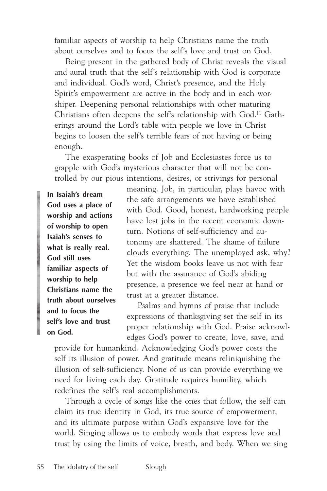familiar aspects of worship to help Christians name the truth about ourselves and to focus the self's love and trust on God.

Being present in the gathered body of Christ reveals the visual and aural truth that the self's relationship with God is corporate and individual. God's word, Christ's presence, and the Holy Spirit's empowerment are active in the body and in each worshiper. Deepening personal relationships with other maturing Christians often deepens the self's relationship with God.11 Gatherings around the Lord's table with people we love in Christ begins to loosen the self's terrible fears of not having or being enough.

The exasperating books of Job and Ecclesiastes force us to grapple with God's mysterious character that will not be controlled by our pious intentions, desires, or strivings for personal

**In Isaiah's dream God uses a place of worship and actions of worship to open Isaiah's senses to what is really real. God still uses familiar aspects of worship to help Christians name the truth about ourselves and to focus the self's love and trust on God.**

meaning. Job, in particular, plays havoc with the safe arrangements we have established with God. Good, honest, hardworking people have lost jobs in the recent economic downturn. Notions of self-sufficiency and autonomy are shattered. The shame of failure clouds everything. The unemployed ask, why? Yet the wisdom books leave us not with fear but with the assurance of God's abiding presence, a presence we feel near at hand or trust at a greater distance.

Psalms and hymns of praise that include expressions of thanksgiving set the self in its proper relationship with God. Praise acknowledges God's power to create, love, save, and

provide for humankind. Acknowledging God's power costs the self its illusion of power. And gratitude means reliniquishing the illusion of self-sufficiency. None of us can provide everything we need for living each day. Gratitude requires humility, which redefines the self's real accomplishments.

Through a cycle of songs like the ones that follow, the self can claim its true identity in God, its true source of empowerment, and its ultimate purpose within God's expansive love for the world. Singing allows us to embody words that express love and trust by using the limits of voice, breath, and body. When we sing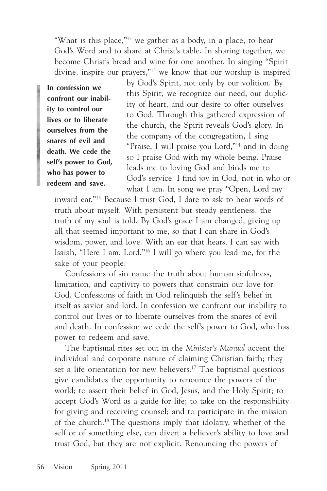"What is this place,"<sup>12</sup> we gather as a body, in a place, to hear God's Word and to share at Christ's table. In sharing together, we become Christ's bread and wine for one another. In singing "Spirit divine, inspire our prayers,"13 we know that our worship is inspired

**In confession we confront our inability to control our lives or to liberate ourselves from the snares of evil and death. We cede the self's power to God, who has power to redeem and save.**

by God's Spirit, not only by our volition. By this Spirit, we recognize our need, our duplicity of heart, and our desire to offer ourselves to God. Through this gathered expression of the church, the Spirit reveals God's glory. In the company of the congregation, I sing "Praise, I will praise you Lord,"14 and in doing so I praise God with my whole being. Praise leads me to loving God and binds me to God's service. I find joy in God, not in who or what I am. In song we pray "Open, Lord my

inward ear."15 Because I trust God, I dare to ask to hear words of truth about myself. With persistent but steady gentleness, the truth of my soul is told. By God's grace I am changed, giving up all that seemed important to me, so that I can share in God's wisdom, power, and love. With an ear that hears, I can say with Isaiah, "Here I am, Lord."16 I will go where you lead me, for the sake of your people.

Confessions of sin name the truth about human sinfulness, limitation, and captivity to powers that constrain our love for God. Confessions of faith in God relinquish the self's belief in itself as savior and lord. In confession we confront our inability to control our lives or to liberate ourselves from the snares of evil and death. In confession we cede the self's power to God, who has power to redeem and save.

The baptismal rites set out in the *Minister's Manual* accent the individual and corporate nature of claiming Christian faith; they set a life orientation for new believers.<sup>17</sup> The baptismal questions give candidates the opportunity to renounce the powers of the world; to assert their belief in God, Jesus, and the Holy Spirit; to accept God's Word as a guide for life; to take on the responsibility for giving and receiving counsel; and to participate in the mission of the church.18 The questions imply that idolatry, whether of the self or of something else, can divert a believer's ability to love and trust God, but they are not explicit. Renouncing the powers of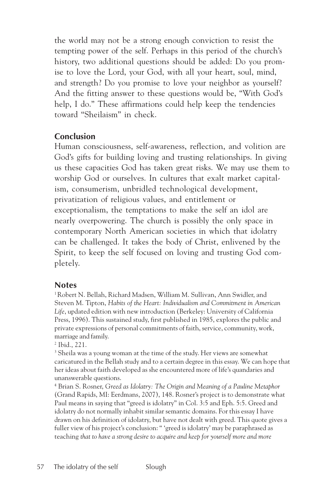the world may not be a strong enough conviction to resist the tempting power of the self. Perhaps in this period of the church's history, two additional questions should be added: Do you promise to love the Lord, your God, with all your heart, soul, mind, and strength? Do you promise to love your neighbor as yourself? And the fitting answer to these questions would be, "With God's help, I do." These affirmations could help keep the tendencies toward "Sheilaism" in check.

# **Conclusion**

Human consciousness, self-awareness, reflection, and volition are God's gifts for building loving and trusting relationships. In giving us these capacities God has taken great risks. We may use them to worship God or ourselves. In cultures that exalt market capitalism, consumerism, unbridled technological development, privatization of religious values, and entitlement or exceptionalism, the temptations to make the self an idol are nearly overpowering. The church is possibly the only space in contemporary North American societies in which that idolatry can be challenged. It takes the body of Christ, enlivened by the Spirit, to keep the self focused on loving and trusting God completely.

## **Notes**

1 Robert N. Bellah, Richard Madsen, William M. Sullivan, Ann Swidler, and Steven M. Tipton, *Habits of the Heart: Individualism and Commitment in American Life*, updated edition with new introduction (Berkeley: University of California Press, 1996). This sustained study, first published in 1985, explores the public and private expressions of personal commitments of faith, service, community, work, marriage and family.

2 Ibid., 221.

 $3$  Sheila was a young woman at the time of the study. Her views are somewhat caricatured in the Bellah study and to a certain degree in this essay. We can hope that her ideas about faith developed as she encountered more of life's quandaries and unanswerable questions.

4 Brian S. Rosner, *Greed as Idolatry: The Origin and Meaning of a Pauline Metaphor* (Grand Rapids, MI: Eerdmans, 2007), 148. Rosner's project is to demonstrate what Paul means in saying that "greed is idolatry" in Col. 3:5 and Eph. 5:5. Greed and idolatry do not normally inhabit similar semantic domains. For this essay I have drawn on his definition of idolatry, but have not dealt with greed. This quote gives a fuller view of his project's conclusion: " 'greed is idolatry' may be paraphrased as teaching *that to have a strong desire to acquire and keep for yourself more and more*